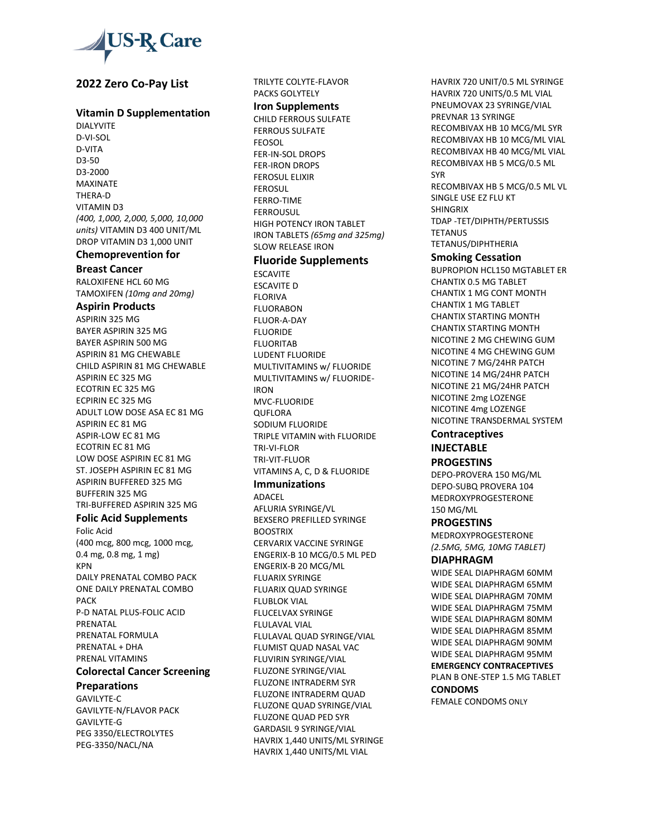

# **2022 Zero Co-Pay List**

### **Vitamin D Supplementation**

DIALYVITE D-VI-SOL D-VITA D3-50 D3-2000 MAXINATE THERA-D VITAMIN D3 *(400, 1,000, 2,000, 5,000, 10,000 units)* VITAMIN D3 400 UNIT/ML DROP VITAMIN D3 1,000 UNIT

## **Chemoprevention for**

#### **Breast Cancer**

RALOXIFENE HCL 60 MG TAMOXIFEN *(10mg and 20mg)* 

## **Aspirin Products**

ASPIRIN 325 MG BAYER ASPIRIN 325 MG BAYER ASPIRIN 500 MG ASPIRIN 81 MG CHEWABLE CHILD ASPIRIN 81 MG CHEWABLE ASPIRIN EC 325 MG ECOTRIN EC 325 MG ECPIRIN EC 325 MG ADULT LOW DOSE ASA EC 81 MG ASPIRIN EC 81 MG ASPIR-LOW EC 81 MG ECOTRIN EC 81 MG LOW DOSE ASPIRIN EC 81 MG ST. JOSEPH ASPIRIN EC 81 MG ASPIRIN BUFFERED 325 MG BUFFERIN 325 MG TRI-BUFFERED ASPIRIN 325 MG

## **Folic Acid Supplements**

Folic Acid (400 mcg, 800 mcg, 1000 mcg, 0.4 mg, 0.8 mg, 1 mg) KPN DAILY PRENATAL COMBO PACK ONE DAILY PRENATAL COMBO PACK P-D NATAL PLUS-FOLIC ACID PRENATAL PRENATAL FORMULA PRENATAL + DHA PRENAL VITAMINS

## **Colorectal Cancer Screening**

### **Preparations**

GAVILYTE-C GAVILYTE-N/FLAVOR PACK GAVILYTE-G PEG 3350/ELECTROLYTES PEG-3350/NACL/NA

#### TRILYTE COLYTE-FLAVOR PACKS GOLYTELY

## **Iron Supplements**

CHILD FERROUS SULFATE FERROUS SULFATE **FEOSOL** FER-IN-SOL DROPS FER-IRON DROPS FEROSUL ELIXIR FEROSUL FERRO-TIME **FFRROUSUL** HIGH POTENCY IRON TABLET IRON TABLETS *(65mg and 325mg)* SLOW RELEASE IRON

# **Fluoride Supplements**

ESCAVITE ESCAVITE D FLORIVA FLUORABON FLUOR-A-DAY FLUORIDE FLUORITAB LUDENT FLUORIDE MULTIVITAMINS w/ FLUORIDE MULTIVITAMINS w/ FLUORIDE-IRON MVC-FLUORIDE QUFLORA SODIUM FLUORIDE TRIPLE VITAMIN with FLUORIDE TRI-VI-FLOR TRI-VIT-FLUOR VITAMINS A, C, D & FLUORIDE

#### **Immunizations**

ADACEL AFLURIA SYRINGE/VL BEXSERO PREFILLED SYRINGE **BOOSTRIX** CERVARIX VACCINE SYRINGE ENGERIX-B 10 MCG/0.5 ML PED ENGERIX-B 20 MCG/ML FLUARIX SYRINGE FLUARIX QUAD SYRINGE FLUBLOK VIAL FLUCELVAX SYRINGE FLULAVAL VIAL FLULAVAL QUAD SYRINGE/VIAL FLUMIST QUAD NASAL VAC FLUVIRIN SYRINGE/VIAL FLUZONE SYRINGE/VIAL FLUZONE INTRADERM SYR FLUZONE INTRADERM QUAD FLUZONE QUAD SYRINGE/VIAL FLUZONE QUAD PED SYR GARDASIL 9 SYRINGE/VIAL HAVRIX 1,440 UNITS/ML SYRINGE HAVRIX 1,440 UNITS/ML VIAL

HAVRIX 720 UNIT/0.5 ML SYRINGE HAVRIX 720 UNITS/0.5 ML VIAL PNEUMOVAX 23 SYRINGE/VIAL PREVNAR 13 SYRINGE RECOMBIVAX HB 10 MCG/ML SYR RECOMBIVAX HB 10 MCG/ML VIAL RECOMBIVAX HB 40 MCG/ML VIAL RECOMBIVAX HB 5 MCG/0.5 ML SYR RECOMBIVAX HB 5 MCG/0.5 ML VL SINGLE USE EZ FLU KT SHINGRIX TDAP -TET/DIPHTH/PERTUSSIS **TETANUS** TETANUS/DIPHTHERIA **Smoking Cessation**

BUPROPION HCL150 MGTABLET ER CHANTIX 0.5 MG TABLET CHANTIX 1 MG CONT MONTH CHANTIX 1 MG TABLET CHANTIX STARTING MONTH CHANTIX STARTING MONTH NICOTINE 2 MG CHEWING GUM NICOTINE 4 MG CHEWING GUM NICOTINE 7 MG/24HR PATCH NICOTINE 14 MG/24HR PATCH NICOTINE 21 MG/24HR PATCH NICOTINE 2mg LOZENGE NICOTINE 4mg LOZENGE NICOTINE TRANSDERMAL SYSTEM

## **Contraceptives INJECTABLE**

## **PROGESTINS**

DEPO-PROVERA 150 MG/ML DEPO-SUBQ PROVERA 104 MEDROXYPROGESTERONE 150 MG/ML

### **PROGESTINS**

MEDROXYPROGESTERONE *(2.5MG, 5MG, 10MG TABLET)*

# **DIAPHRAGM**

WIDE SEAL DIAPHRAGM 60MM WIDE SEAL DIAPHRAGM 65MM WIDE SEAL DIAPHRAGM 70MM WIDE SEAL DIAPHRAGM 75MM WIDE SEAL DIAPHRAGM 80MM WIDE SEAL DIAPHRAGM 85MM WIDE SEAL DIAPHRAGM 90MM WIDE SEAL DIAPHRAGM 95MM **EMERGENCY CONTRACEPTIVES** PLAN B ONE-STEP 1.5 MG TABLET **CONDOMS**

FEMALE CONDOMS ONLY